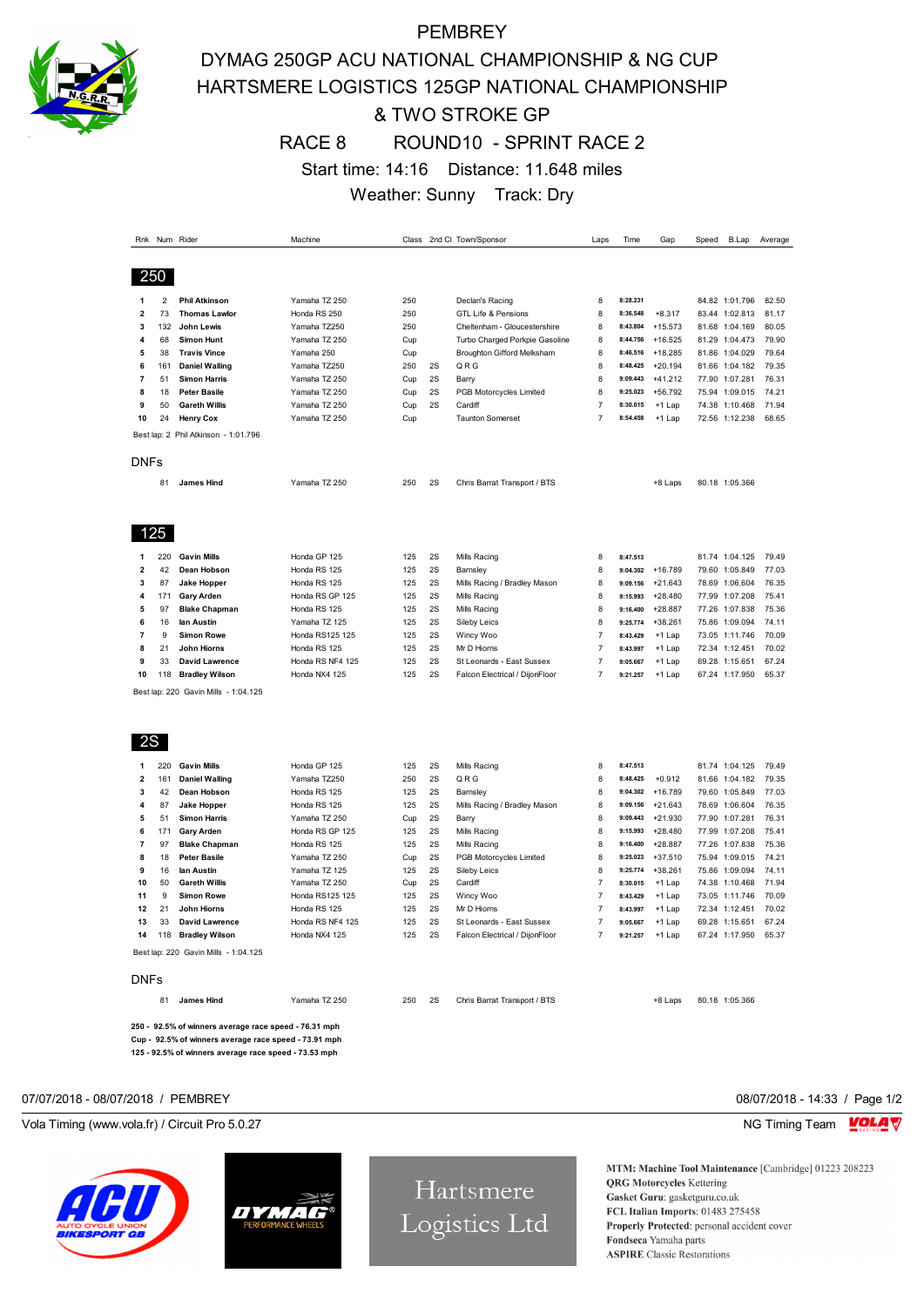

# **PEMBREY** DYMAG 250GP ACU NATIONAL CHAMPIONSHIP & NG CUP HARTSMERE LOGISTICS 125GP NATIONAL CHAMPIONSHIP & TWO STROKE GP RACE 8 ROUND10 - SPRINT RACE 2 Start time: 14:16 Distance: 11.648 miles Weather: Sunny Track: Dry

| Rnk                     |                | Num Rider                            | Machine                         |            |          | Class 2nd Cl: Town/Sponsor     | Laps           | Time                 | Gap                    | Speed | B.Lap                            | Average        |
|-------------------------|----------------|--------------------------------------|---------------------------------|------------|----------|--------------------------------|----------------|----------------------|------------------------|-------|----------------------------------|----------------|
|                         |                |                                      |                                 |            |          |                                |                |                      |                        |       |                                  |                |
|                         | 250            |                                      |                                 |            |          |                                |                |                      |                        |       |                                  |                |
|                         |                |                                      |                                 |            |          |                                |                |                      |                        |       |                                  |                |
| 1                       | $\overline{2}$ | <b>Phil Atkinson</b>                 | Yamaha TZ 250                   | 250        |          | Declan's Racing                | 8              | 8:28.231             |                        |       | 84.82 1:01.796                   | 82.50          |
| $\overline{2}$          | 73             | <b>Thomas Lawlor</b>                 | Honda RS 250                    | 250        |          | <b>GTL Life &amp; Pensions</b> | 8              | 8:36.548             | $+8.317$               |       | 83.44 1:02.813                   | 81.17          |
| 3                       | 132            | <b>John Lewis</b>                    | Yamaha TZ250                    | 250        |          | Cheltenham - Gloucestershire   | 8              | 8:43.804             | $+15.573$              |       | 81.68 1:04.169                   | 80.05          |
| 4                       | 68             | <b>Simon Hunt</b>                    | Yamaha TZ 250                   | Cup        |          | Turbo Charged Porkpie Gasoline | 8              | 8:44.756             | $+16.525$              |       | 81.29 1:04.473                   | 79.90          |
| 5                       | 38             | <b>Travis Vince</b>                  | Yamaha 250                      | Cup        |          | Broughton Gifford Melksham     | 8              | 8:46.516             | $+18.285$              |       | 81.86 1:04.029                   | 79.64          |
| 6                       | 161            | <b>Daniel Walling</b>                | Yamaha TZ250                    | 250        | 2S       | QRG                            | 8              | 8:48.425             | $+20.194$              |       | 81.66 1:04.182                   | 79.35          |
| $\overline{\mathbf{r}}$ | 51             | <b>Simon Harris</b>                  | Yamaha TZ 250                   | Cup        | 2S       | Barry                          | 8              | 9:09.443             | $+41.212$              |       | 77.90 1:07.281                   | 76.31          |
| 8                       | 18             | <b>Peter Basile</b>                  | Yamaha TZ 250                   | Cup        | 2S       | PGB Motorcycles Limited        | 8              | 9:25.023             | $+56.792$              |       | 75.94 1:09.015                   | 74.21          |
| 9                       | 50             | <b>Gareth Willis</b>                 | Yamaha TZ 250                   | Cup        | 2S       | Cardiff                        | $\overline{7}$ | 8:30.015             | +1 Lap                 |       | 74.38 1:10.468                   | 71.94          |
| 10                      | 24             | <b>Henry Cox</b>                     | Yamaha TZ 250                   | Cup        |          | <b>Taunton Somerset</b>        | $\overline{7}$ | 8:54.458             | +1 Lap                 |       | 72.56 1:12.238                   | 68.65          |
|                         |                | Best lap: 2 Phil Atkinson - 1:01.796 |                                 |            |          |                                |                |                      |                        |       |                                  |                |
| DNFs                    |                |                                      |                                 |            |          |                                |                |                      |                        |       |                                  |                |
|                         | 81             | <b>James Hind</b>                    | Yamaha TZ 250                   | 250        | 2S       | Chris Barrat Transport / BTS   |                |                      | +8 Laps                |       | 80.18 1:05.366                   |                |
|                         |                |                                      |                                 |            |          |                                |                |                      |                        |       |                                  |                |
|                         | 125            |                                      |                                 |            |          |                                |                |                      |                        |       |                                  |                |
| 1                       | 220            | <b>Gavin Mills</b>                   | Honda GP 125                    | 125        | 2S       | Mills Racing                   | 8              | 8:47.513             |                        |       | 81.74 1:04.125                   | 79.49          |
| 2                       | 42             | Dean Hobson                          | Honda RS 125                    | 125        | 2S       | Barnsley                       | 8              | 9:04.302             | $+16.789$              |       | 79.60 1:05.849                   | 77.03          |
| 3                       | 87             | <b>Jake Hopper</b>                   | Honda RS 125                    | 125        | 2S       | Mills Racing / Bradley Mason   | 8              | 9:09.156             | $+21.643$              |       | 78.69 1:06.604                   | 76.35          |
| 4                       | 171            | <b>Gary Arden</b>                    | Honda RS GP 125                 | 125        | 2S       | Mills Racing                   | 8              | 9:15.993             | $+28.480$              |       | 77.99 1:07.208                   | 75.41          |
| 5                       | 97             | <b>Blake Chapman</b>                 | Honda RS 125                    | 125        | 2S       | Mills Racing                   | 8              | 9:16.400             | $+28.887$              |       | 77.26 1:07.838                   | 75.36          |
| 6                       | 16             | lan Austin                           | Yamaha TZ 125                   | 125        | 2S       | Sileby Leics                   | 8              | 9:25.774             | $+38.261$              |       | 75.86 1:09.094                   | 74.11          |
| 7                       | 9              | <b>Simon Rowe</b>                    | Honda RS125 125                 | 125        | 2S       | Wincy Woo                      | 7              | 8:43.429             | $+1$ Lap               |       | 73.05 1:11.746                   | 70.09          |
| 8                       | 21             | John Hiorns                          | Honda RS 125                    | 125        | 2S       | Mr D Hiorns                    | 7              | 8:43.997             | +1 Lap                 |       | 72.34 1:12.451                   | 70.02          |
| 9                       | 33             | David Lawrence                       | Honda RS NF4 125                | 125        | 2S       | St Leonards - East Sussex      | 7              | 9:05.667             | $+1$ Lap               |       | 69.28 1:15.651                   | 67.24          |
| 10                      | 118            | <b>Bradley Wilson</b>                | Honda NX4 125                   | 125        | 2S       | Falcon Electrical / DijonFloor | $\overline{7}$ | 9:21.257             | $+1$ Lap               |       | 67.24 1:17.950                   | 65.37          |
|                         |                | Best lap: 220 Gavin Mills - 1:04.125 |                                 |            |          |                                |                |                      |                        |       |                                  |                |
|                         |                |                                      |                                 |            |          |                                |                |                      |                        |       |                                  |                |
| 2S                      |                |                                      |                                 |            |          |                                |                |                      |                        |       |                                  |                |
| 1                       | 220            | <b>Gavin Mills</b>                   | Honda GP 125                    | 125        | 2S       | Mills Racing                   | 8              | 8:47.513             |                        |       | 81.74 1:04.125                   | 79.49          |
| 2                       | 161            | <b>Daniel Walling</b>                | Yamaha TZ250                    | 250        | 2S       | QRG                            | 8              | 8:48.425             | $+0.912$               |       | 81.66 1:04.182                   | 79.35          |
| 3                       | 42             | Dean Hobson                          | Honda RS 125                    | 125        | 2S       | Barnsley                       | 8              | 9:04.302             | $+16.789$              |       | 79.60 1:05.849                   | 77.03          |
| 4                       | 87             | Jake Hopper                          | Honda RS 125                    | 125        | 2S       | Mills Racing / Bradley Mason   | 8              | 9:09.156             | $+21.643$              |       | 78.69 1:06.604                   | 76.35          |
| 5                       | 51             | <b>Simon Harris</b>                  | Yamaha TZ 250                   | Cup        | 2S       | Barry                          | 8              | 9:09.443             | $+21.930$              |       | 77.90 1:07.281                   | 76.31          |
| 6<br>$\overline{7}$     | 171<br>97      | <b>Gary Arden</b>                    | Honda RS GP 125<br>Honda RS 125 | 125<br>125 | 2S<br>2S | Mills Racing                   | 8              | 9:15.993             | $+28.480$              |       | 77.99 1:07.208                   | 75.41          |
|                         |                | <b>Blake Chapman</b>                 |                                 |            | 2S       | Mills Racing                   | 8              | 9:16.400             | $+28.887$              |       | 77.26 1:07.838                   | 75.36          |
| 8<br>9                  | 18<br>16       | <b>Peter Basile</b><br>lan Austin    | Yamaha TZ 250<br>Yamaha TZ 125  | Cup<br>125 | 2S       | PGB Motorcycles Limited        | 8<br>8         | 9:25.023<br>9:25.774 | $+37.510$<br>$+38.261$ |       | 75.94 1:09.015<br>75.86 1:09.094 | 74.21<br>74.11 |
| 10                      | 50             | <b>Gareth Willis</b>                 | Yamaha TZ 250                   |            | 2S       | Sileby Leics                   | $\overline{7}$ | 8:30.015             |                        |       |                                  | 71.94          |
| 11                      | 9              | <b>Simon Rowe</b>                    | Honda RS125 125                 | Cup<br>125 | 2S       | Cardiff<br>Wincy Woo           | $\overline{7}$ | 8:43.429             | +1 Lap<br>+1 Lap       |       | 74.38 1:10.468<br>73.05 1:11.746 | 70.09          |
| 12                      | 21             | John Hiorns                          | Honda RS 125                    | 125        | 2S       | Mr D Hiorns                    | $\overline{7}$ | 8:43.997             | $+1$ Lap               |       | 72.34 1:12.451                   | 70.02          |
| 13                      | 33             | David Lawrence                       | Honda RS NF4 125                | 125        | 2S       | St Leonards - East Sussex      | $\overline{7}$ | 9:05.667             | +1 Lap                 |       | 69.28 1:15.651                   | 67.24          |
| 14                      | 118            | <b>Bradley Wilson</b>                | Honda NX4 125                   | 125        | 2S       | Falcon Electrical / DijonFloor | $\overline{7}$ | 9:21.257             | +1 Lap                 |       | 67.24 1:17.950                   | 65.37          |
|                         |                | Best lap: 220 Gavin Mills - 1:04.125 |                                 |            |          |                                |                |                      |                        |       |                                  |                |
| DNFs                    |                |                                      |                                 |            |          |                                |                |                      |                        |       |                                  |                |
|                         | 81             | <b>James Hind</b>                    | Yamaha TZ 250                   | 250        | 2S       | Chris Barrat Transport / BTS   |                |                      | +8 Laps                |       | 80.18 1:05.366                   |                |
|                         |                |                                      |                                 |            |          |                                |                |                      |                        |       |                                  |                |

**250 - 92.5% of winners average race speed - 76.31 mph Cup - 92.5% of winners average race speed - 73.91 mph 125 - 92.5% of winners average race speed - 73.53 mph**

#### 07/07/2018 - 08/07/2018 / PEMBREY 08/07/2018 - 14:33 / Page 1/2

Vola Timing (www.vola.fr) / Circuit Pro 5.0.27 NG Timing Team MC Timing Team MC Timing Team MC Timing Team MC Timing Team MC Timing Team MC Timing Team MC Timing Team MC Timing Team MC Timing Team MC Timing Team MC Timing





Hartsmere Logistics Ltd

MTM: Machine Tool Maintenance [Cambridge] 01223 208223 **QRG** Motorcycles Kettering Gasket Guru: gasketguru.co.uk FCL Italian Imports: 01483 275458 Properly Protected: personal accident cover Fondseca Yamaha parts **ASPIRE** Classic Restorations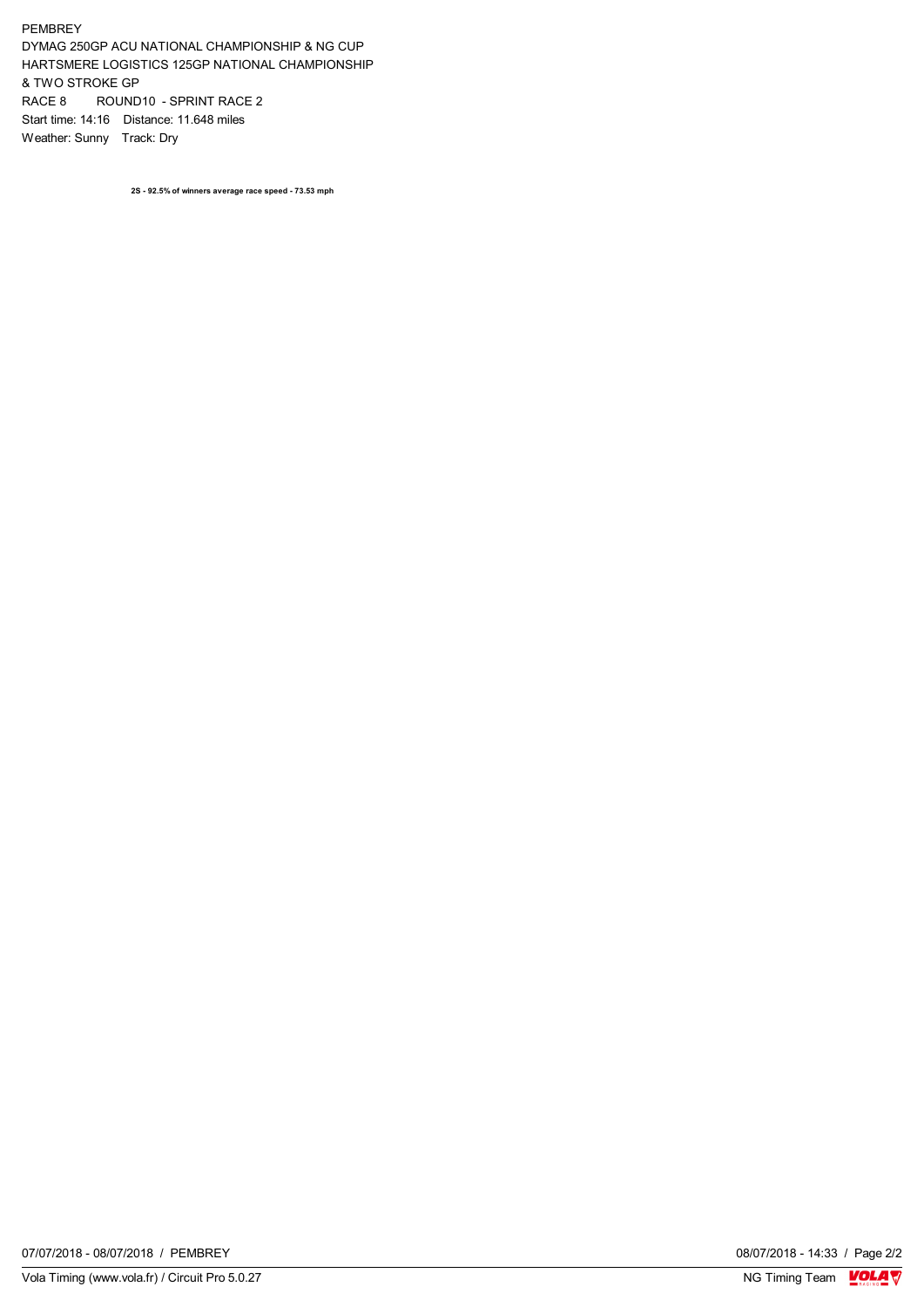#### PEMBREY

DYMAG 250GP ACU NATIONAL CHAMPIONSHIP & NG CUP HARTSMERE LOGISTICS 125GP NATIONAL CHAMPIONSHIP & TWO STROKE GP RACE 8 ROUND10 - SPRINT RACE 2 Start time: 14:16 Distance: 11.648 miles Weather: Sunny Track: Dry

**2S - 92.5% of winners average race speed - 73.53 mph**

08/07/2018 - 14:33 / Page 2/2<br>NG Timing Team  $\sqrt{\frac{Q}{M}}$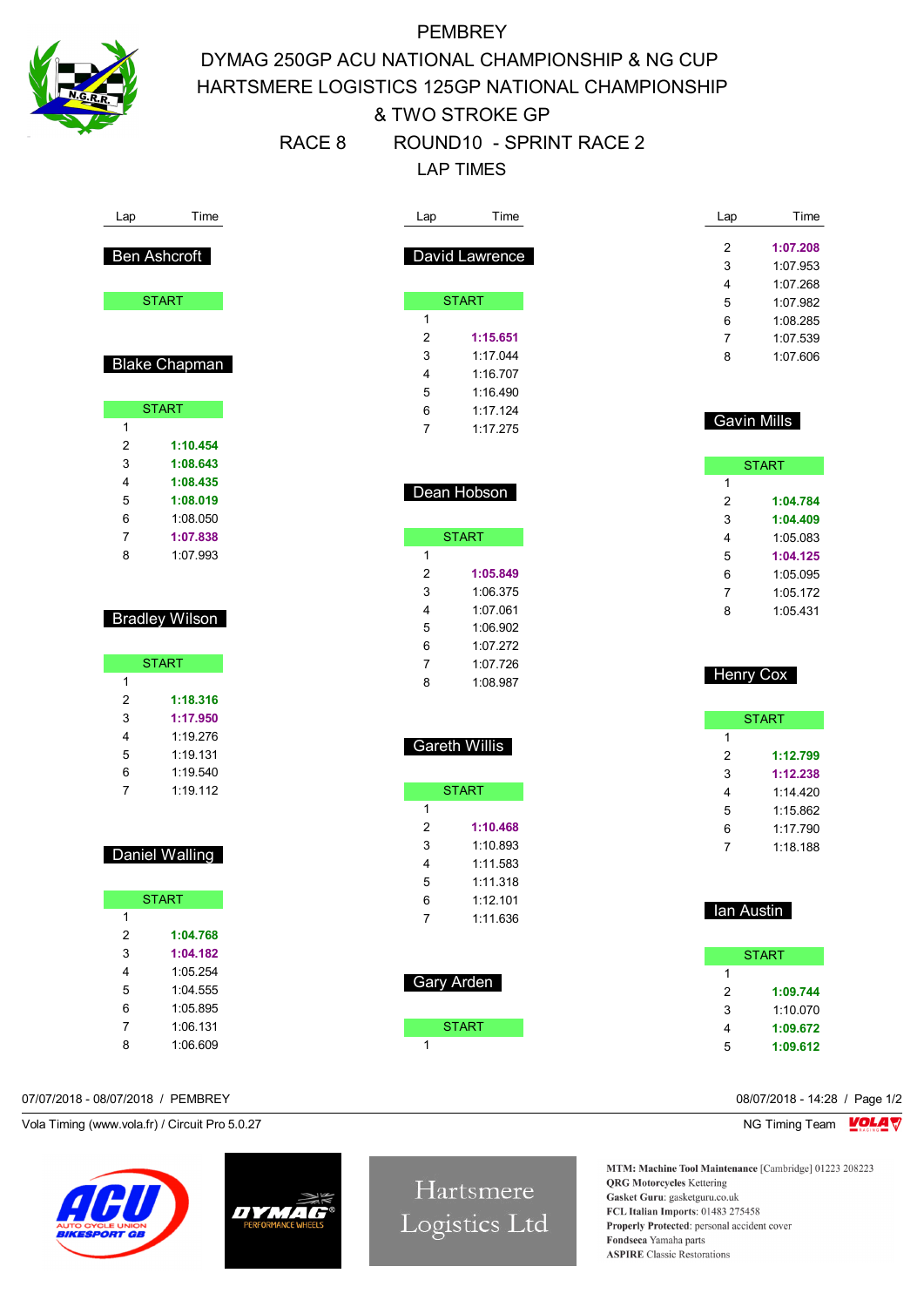

# **PEMBREY** DYMAG 250GP ACU NATIONAL CHAMPIONSHIP & NG CUP HARTSMERE LOGISTICS 125GP NATIONAL CHAMPIONSHIP & TWO STROKE GP RACE 8 ROUND10 - SPRINT RACE 2 LAP TIMES

|                       | Time                  | Lap                          | Time           | Lap                | Time                 |
|-----------------------|-----------------------|------------------------------|----------------|--------------------|----------------------|
|                       |                       |                              |                |                    |                      |
|                       | <b>Ben Ashcroft</b>   |                              | David Lawrence | 2<br>3             | 1:07.208<br>1:07.953 |
|                       |                       |                              |                |                    |                      |
|                       | <b>START</b>          | <b>START</b>                 |                | 4                  | 1:07.268             |
|                       |                       | $\mathbf{1}$                 |                | 5                  | 1:07.982             |
|                       |                       | $\overline{2}$               | 1:15.651       | 6                  | 1:08.285             |
|                       |                       |                              |                | 7                  | 1:07.539             |
|                       | <b>Blake Chapman</b>  | 3                            | 1:17.044       | 8                  | 1:07.606             |
|                       |                       | 4                            | 1:16.707       |                    |                      |
|                       |                       | 5                            | 1:16.490       |                    |                      |
|                       | <b>START</b>          | 6                            | 1:17.124       | <b>Gavin Mills</b> |                      |
| 1                     |                       | 7                            | 1:17.275       |                    |                      |
| $\boldsymbol{2}$      | 1:10.454              |                              |                |                    |                      |
| 3                     | 1:08.643              |                              |                |                    | <b>START</b>         |
| 4                     | 1:08.435              | Dean Hobson                  |                | 1                  |                      |
| 5                     | 1:08.019              |                              |                | 2                  | 1:04.784             |
| 6                     | 1:08.050              |                              |                | 3                  | 1:04.409             |
| 7                     | 1:07.838              | <b>START</b>                 |                | 4                  | 1:05.083             |
| 8                     | 1:07.993              | $\mathbf{1}$                 |                | 5                  | 1:04.125             |
|                       |                       | $\overline{2}$               | 1:05.849       | 6                  | 1:05.095             |
|                       |                       | 3                            | 1:06.375       | 7                  | 1:05.172             |
|                       | <b>Bradley Wilson</b> | 4                            | 1:07.061       | 8                  | 1:05.431             |
|                       |                       | 5                            | 1:06.902       |                    |                      |
|                       |                       | 6                            | 1:07.272       |                    |                      |
|                       | <b>START</b>          | 7                            | 1:07.726       |                    |                      |
| $\mathbf{1}$          |                       | 8                            | 1:08.987       | <b>Henry Cox</b>   |                      |
| 2                     | 1:18.316              |                              |                |                    |                      |
|                       |                       |                              |                |                    | <b>START</b>         |
| 3                     | 1:17.950              |                              |                |                    |                      |
| 4                     | 1:19.276              |                              |                | 1                  |                      |
| 5                     | 1:19.131              | <b>Gareth Willis</b>         |                |                    |                      |
| 6                     | 1:19.540              |                              |                | 2                  | 1:12.799<br>1:12.238 |
| $\overline{7}$        | 1:19.112              | <b>START</b>                 |                | 3                  |                      |
|                       |                       | 1                            |                | 4                  | 1:14.420             |
|                       |                       |                              | 1:10.468       | 5                  | 1:15.862             |
|                       |                       | 2                            | 1:10.893       | 6                  | 1:17.790             |
|                       | Daniel Walling        | 3<br>4                       | 1:11.583       | 7                  | 1:18.188             |
|                       |                       |                              |                |                    |                      |
|                       |                       | 5                            | 1:11.318       |                    |                      |
|                       | <b>START</b>          | 6                            | 1:12.101       |                    |                      |
| $\mathbf{1}$          |                       | $\overline{7}$               | 1:11.636       | lan Austin         |                      |
| $\sqrt{2}$            | 1:04.768              |                              |                |                    |                      |
| 3                     | 1:04.182              |                              |                |                    | <b>START</b>         |
| 4                     | 1:05.254              | Gary Arden                   |                | 1                  |                      |
| 5                     | 1:04.555              |                              |                | 2                  | 1:09.744             |
| 6                     | 1:05.895              |                              |                | 3                  | 1:10.070             |
| $\boldsymbol{7}$<br>8 | 1:06.131<br>1:06.609  | <b>START</b><br>$\mathbf{1}$ |                | 4<br>5             | 1:09.672<br>1:09.612 |

## 07/07/2018 - 08/07/2018 / PEMBREY 08/07/2018 - 14:28 / Page 1/2

Vola Timing (www.vola.fr) / Circuit Pro 5.0.27 NG Timing Team NG Timing Team NG Timing Team NG Timing Team NG





Hartsmere Logistics Ltd

MTM: Machine Tool Maintenance [Cambridge] 01223 208223 **QRG** Motorcycles Kettering Gasket Guru: gasketguru.co.uk FCL Italian Imports: 01483 275458 Properly Protected: personal accident cover Fondseca Yamaha parts **ASPIRE** Classic Restorations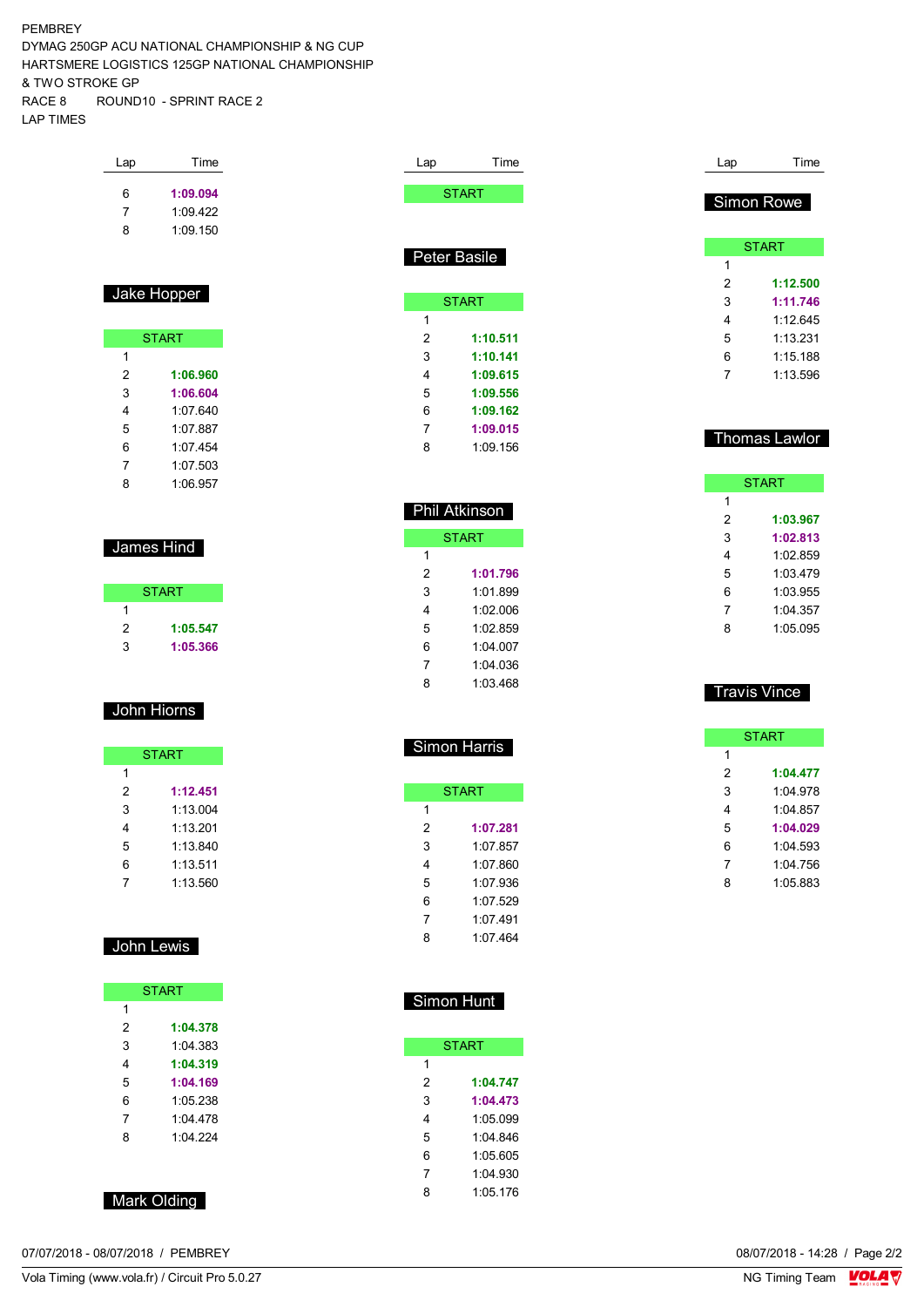### PEMBREY

DYMAG 250GP ACU NATIONAL CHAMPIONSHIP & NG CUP HARTSMERE LOGISTICS 125GP NATIONAL CHAMPIONSHIP & TWO STROKE GP RACE 8 ROUND10 - SPRINT RACE 2 LAP TIMES

| Lap              | Time         | Lap          | Time                | Lap               | Time                |
|------------------|--------------|--------------|---------------------|-------------------|---------------------|
| 6                | 1:09.094     |              | <b>START</b>        |                   |                     |
| 7                | 1:09.422     |              |                     |                   | Simon Rowe          |
| 8                | 1:09.150     |              |                     |                   |                     |
|                  |              |              | Peter Basile        |                   | <b>START</b>        |
|                  |              |              |                     | $\mathbf{1}$<br>2 | 1:12.500            |
|                  | Jake Hopper  |              | <b>START</b>        | 3                 | 1:11.746            |
|                  |              | $\mathbf{1}$ |                     | 4                 | 1:12.645            |
|                  | <b>START</b> | 2            | 1:10.511            | 5                 | 1:13.231            |
| 1                |              | 3            | 1:10.141            | 6                 | 1:15.188            |
| $\boldsymbol{2}$ | 1:06.960     | 4            | 1:09.615            | 7                 | 1:13.596            |
| 3                | 1:06.604     | 5            | 1:09.556            |                   |                     |
| 4                | 1:07.640     | 6            | 1:09.162            |                   |                     |
| 5                | 1:07.887     | 7            | 1:09.015            |                   |                     |
| 6                | 1:07.454     | 8            | 1:09.156            |                   | Thomas Lawlor       |
| 7                | 1:07.503     |              |                     |                   |                     |
| 8                | 1:06.957     |              |                     |                   | <b>START</b>        |
|                  |              |              | Phil Atkinson       | 1                 |                     |
|                  |              |              |                     | 2                 | 1:03.967            |
|                  | James Hind   |              | <b>START</b>        | 3                 | 1:02.813            |
|                  |              | 1            |                     | 4                 | 1:02.859            |
|                  |              | 2            | 1:01.796            | 5                 | 1:03.479            |
|                  | <b>START</b> | 3            | 1:01.899            | 6                 | 1:03.955            |
| 1                |              | 4            | 1:02.006            | 7                 | 1:04.357            |
| 2                | 1:05.547     | 5            | 1:02.859            | 8                 | 1:05.095            |
| 3                | 1:05.366     | 6            | 1:04.007            |                   |                     |
|                  |              | 7            | 1:04.036            |                   |                     |
|                  | John Hiorns  | 8            | 1:03.468            |                   | <b>Travis Vince</b> |
|                  |              |              |                     |                   | <b>START</b>        |
|                  | <b>START</b> |              | <b>Simon Harris</b> | 1                 |                     |
| 1                |              |              |                     | 2                 | 1:04.477            |
| 2                | 1:12.451     |              | <b>START</b>        | 3                 | 1:04.978            |
| 3                | 1:13.004     | 1            |                     | 4                 | 1:04.857            |
| 4                | 1:13.201     | 2            | 1:07.281            | 5                 | 1:04.029            |
| 5                | 1:13.840     | 3            | 1:07.857            | 6                 | 1:04.593            |
| 6                | 1:13.511     | 4            | 1:07.860            | 7                 | 1:04.756            |
| $\boldsymbol{7}$ | 1:13.560     | 5            | 1:07.936            | 8                 | 1:05.883            |
|                  |              | $\,6$        | 1:07.529            |                   |                     |
|                  |              | 7            | 1:07.491            |                   |                     |
|                  | John Lewis   | 8            | 1:07.464            |                   |                     |
|                  |              |              |                     |                   |                     |
|                  | <b>START</b> |              | <b>Simon Hunt</b>   |                   |                     |

**START** 

 **1:04.747 1:04.473** 1:05.099 1:04.846 1:05.605 1:04.930 1:05.176

 $\overline{1}$ 

|   | <b>START</b> |
|---|--------------|
| 1 |              |
| 2 | 1:04.378     |
| 3 | 1.04.383     |
| 4 | 1:04.319     |
| 5 | 1:04.169     |
| 6 | 1:05.238     |
| 7 | 1:04.478     |
| 8 | 1:04.224     |
|   |              |

| Mark Olding |  |
|-------------|--|
|             |  |

07/07/2018 - 08/07/2018 / PEMBREY